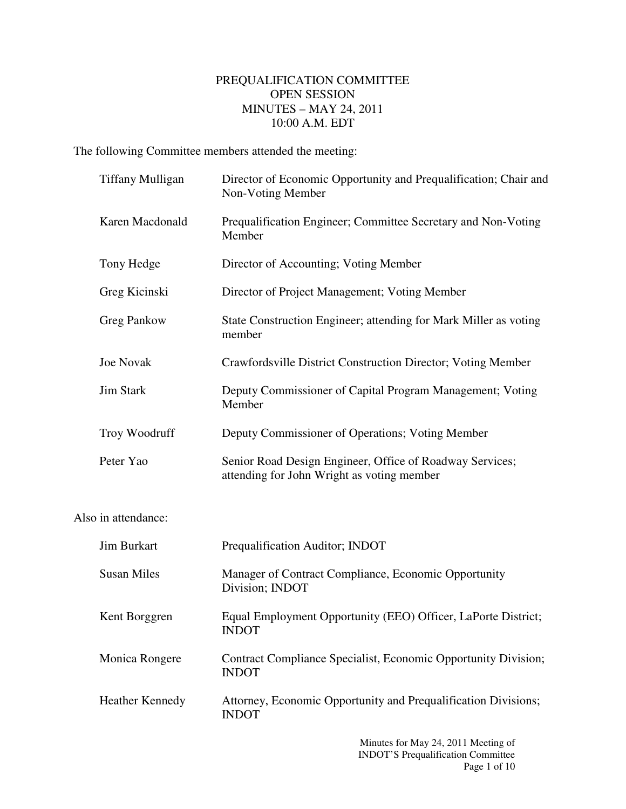## PREQUALIFICATION COMMITTEE OPEN SESSION MINUTES – MAY 24, 2011 10:00 A.M. EDT

The following Committee members attended the meeting:

| <b>Tiffany Mulligan</b> | Director of Economic Opportunity and Prequalification; Chair and<br>Non-Voting Member                  |
|-------------------------|--------------------------------------------------------------------------------------------------------|
| Karen Macdonald         | Prequalification Engineer; Committee Secretary and Non-Voting<br>Member                                |
| Tony Hedge              | Director of Accounting; Voting Member                                                                  |
| Greg Kicinski           | Director of Project Management; Voting Member                                                          |
| <b>Greg Pankow</b>      | State Construction Engineer; attending for Mark Miller as voting<br>member                             |
| <b>Joe Novak</b>        | Crawfordsville District Construction Director; Voting Member                                           |
| <b>Jim Stark</b>        | Deputy Commissioner of Capital Program Management; Voting<br>Member                                    |
| Troy Woodruff           | Deputy Commissioner of Operations; Voting Member                                                       |
| Peter Yao               | Senior Road Design Engineer, Office of Roadway Services;<br>attending for John Wright as voting member |
| Also in attendance:     |                                                                                                        |
| Jim Burkart             | Prequalification Auditor; INDOT                                                                        |
| <b>Susan Miles</b>      | Manager of Contract Compliance, Economic Opportunity<br>Division; INDOT                                |
| Kent Borggren           | Equal Employment Opportunity (EEO) Officer, LaPorte District;<br><b>INDOT</b>                          |
| Monica Rongere          | Contract Compliance Specialist, Economic Opportunity Division;<br><b>INDOT</b>                         |
| <b>Heather Kennedy</b>  | Attorney, Economic Opportunity and Prequalification Divisions;<br><b>INDOT</b>                         |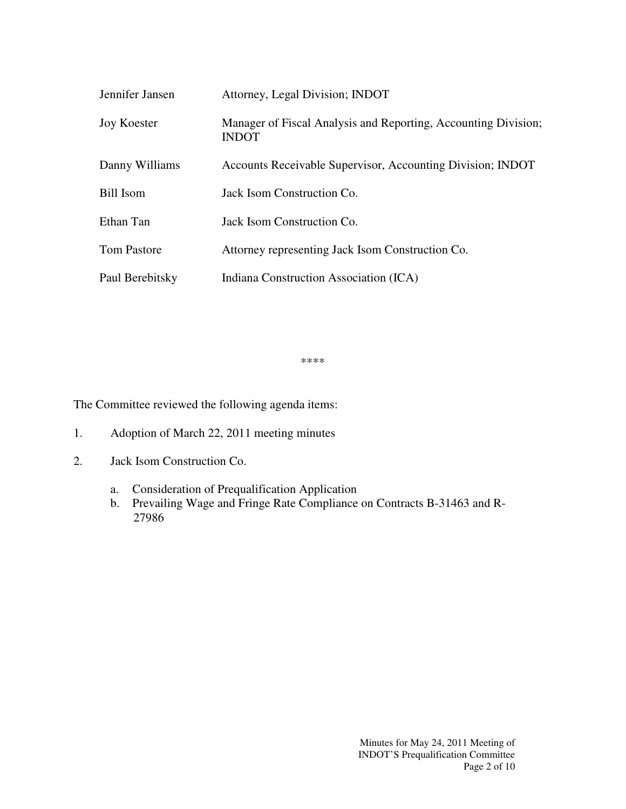| Jennifer Jansen    | Attorney, Legal Division; INDOT                                                |
|--------------------|--------------------------------------------------------------------------------|
| <b>Joy Koester</b> | Manager of Fiscal Analysis and Reporting, Accounting Division;<br><b>INDOT</b> |
| Danny Williams     | Accounts Receivable Supervisor, Accounting Division; INDOT                     |
| <b>Bill Isom</b>   | Jack Isom Construction Co.                                                     |
| Ethan Tan          | Jack Isom Construction Co.                                                     |
| <b>Tom Pastore</b> | Attorney representing Jack Isom Construction Co.                               |
| Paul Berebitsky    | Indiana Construction Association (ICA)                                         |

\*\*\*\*

The Committee reviewed the following agenda items:

- 1. Adoption of March 22, 2011 meeting minutes
- 2. Jack Isom Construction Co.
	- a. Consideration of Prequalification Application
	- b. Prevailing Wage and Fringe Rate Compliance on Contracts B-31463 and R-27986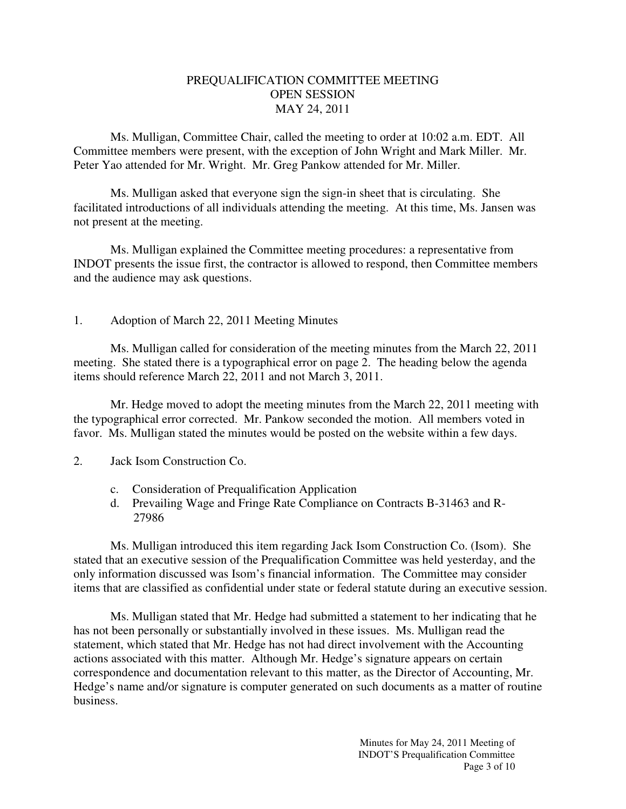## PREQUALIFICATION COMMITTEE MEETING OPEN SESSION MAY 24, 2011

 Ms. Mulligan, Committee Chair, called the meeting to order at 10:02 a.m. EDT. All Committee members were present, with the exception of John Wright and Mark Miller. Mr. Peter Yao attended for Mr. Wright. Mr. Greg Pankow attended for Mr. Miller.

Ms. Mulligan asked that everyone sign the sign-in sheet that is circulating. She facilitated introductions of all individuals attending the meeting. At this time, Ms. Jansen was not present at the meeting.

 Ms. Mulligan explained the Committee meeting procedures: a representative from INDOT presents the issue first, the contractor is allowed to respond, then Committee members and the audience may ask questions.

## 1. Adoption of March 22, 2011 Meeting Minutes

 Ms. Mulligan called for consideration of the meeting minutes from the March 22, 2011 meeting. She stated there is a typographical error on page 2. The heading below the agenda items should reference March 22, 2011 and not March 3, 2011.

 Mr. Hedge moved to adopt the meeting minutes from the March 22, 2011 meeting with the typographical error corrected. Mr. Pankow seconded the motion. All members voted in favor. Ms. Mulligan stated the minutes would be posted on the website within a few days.

2. Jack Isom Construction Co.

- c. Consideration of Prequalification Application
- d. Prevailing Wage and Fringe Rate Compliance on Contracts B-31463 and R-27986

Ms. Mulligan introduced this item regarding Jack Isom Construction Co. (Isom). She stated that an executive session of the Prequalification Committee was held yesterday, and the only information discussed was Isom's financial information. The Committee may consider items that are classified as confidential under state or federal statute during an executive session.

Ms. Mulligan stated that Mr. Hedge had submitted a statement to her indicating that he has not been personally or substantially involved in these issues. Ms. Mulligan read the statement, which stated that Mr. Hedge has not had direct involvement with the Accounting actions associated with this matter. Although Mr. Hedge's signature appears on certain correspondence and documentation relevant to this matter, as the Director of Accounting, Mr. Hedge's name and/or signature is computer generated on such documents as a matter of routine business.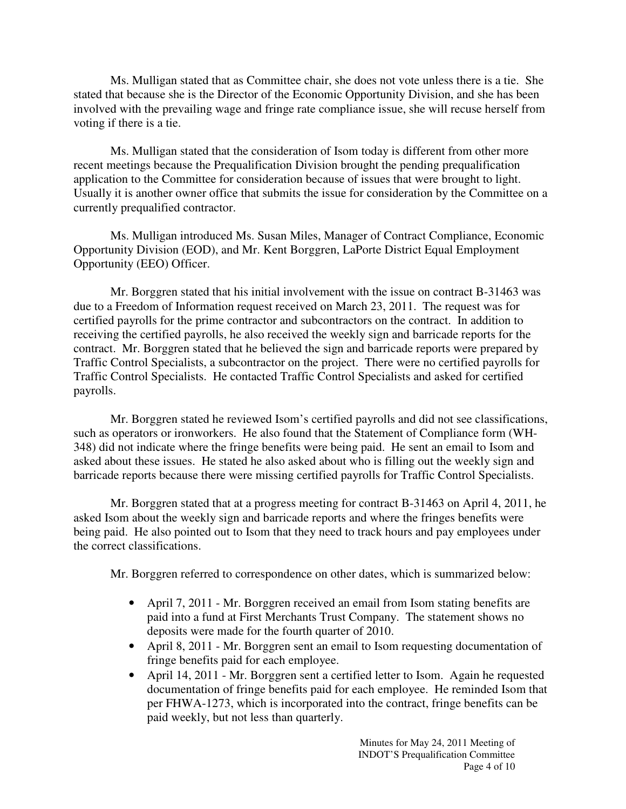Ms. Mulligan stated that as Committee chair, she does not vote unless there is a tie. She stated that because she is the Director of the Economic Opportunity Division, and she has been involved with the prevailing wage and fringe rate compliance issue, she will recuse herself from voting if there is a tie.

Ms. Mulligan stated that the consideration of Isom today is different from other more recent meetings because the Prequalification Division brought the pending prequalification application to the Committee for consideration because of issues that were brought to light. Usually it is another owner office that submits the issue for consideration by the Committee on a currently prequalified contractor.

Ms. Mulligan introduced Ms. Susan Miles, Manager of Contract Compliance, Economic Opportunity Division (EOD), and Mr. Kent Borggren, LaPorte District Equal Employment Opportunity (EEO) Officer.

Mr. Borggren stated that his initial involvement with the issue on contract B-31463 was due to a Freedom of Information request received on March 23, 2011. The request was for certified payrolls for the prime contractor and subcontractors on the contract. In addition to receiving the certified payrolls, he also received the weekly sign and barricade reports for the contract. Mr. Borggren stated that he believed the sign and barricade reports were prepared by Traffic Control Specialists, a subcontractor on the project. There were no certified payrolls for Traffic Control Specialists. He contacted Traffic Control Specialists and asked for certified payrolls.

Mr. Borggren stated he reviewed Isom's certified payrolls and did not see classifications, such as operators or ironworkers. He also found that the Statement of Compliance form (WH-348) did not indicate where the fringe benefits were being paid. He sent an email to Isom and asked about these issues. He stated he also asked about who is filling out the weekly sign and barricade reports because there were missing certified payrolls for Traffic Control Specialists.

Mr. Borggren stated that at a progress meeting for contract B-31463 on April 4, 2011, he asked Isom about the weekly sign and barricade reports and where the fringes benefits were being paid. He also pointed out to Isom that they need to track hours and pay employees under the correct classifications.

Mr. Borggren referred to correspondence on other dates, which is summarized below:

- April 7, 2011 Mr. Borggren received an email from Isom stating benefits are paid into a fund at First Merchants Trust Company. The statement shows no deposits were made for the fourth quarter of 2010.
- April 8, 2011 Mr. Borggren sent an email to Isom requesting documentation of fringe benefits paid for each employee.
- April 14, 2011 Mr. Borggren sent a certified letter to Isom. Again he requested documentation of fringe benefits paid for each employee. He reminded Isom that per FHWA-1273, which is incorporated into the contract, fringe benefits can be paid weekly, but not less than quarterly.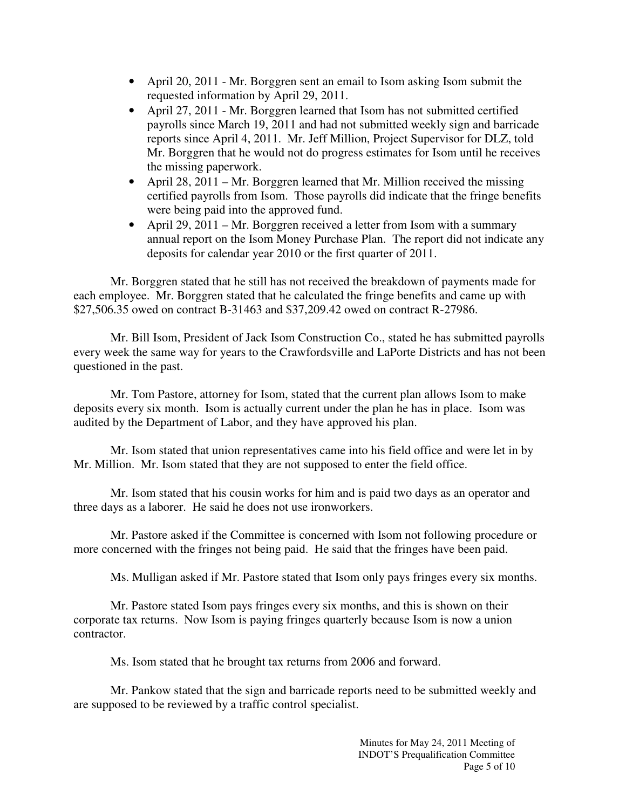- April 20, 2011 Mr. Borggren sent an email to Isom asking Isom submit the requested information by April 29, 2011.
- April 27, 2011 Mr. Borggren learned that Isom has not submitted certified payrolls since March 19, 2011 and had not submitted weekly sign and barricade reports since April 4, 2011. Mr. Jeff Million, Project Supervisor for DLZ, told Mr. Borggren that he would not do progress estimates for Isom until he receives the missing paperwork.
- April 28, 2011 Mr. Borggren learned that Mr. Million received the missing certified payrolls from Isom. Those payrolls did indicate that the fringe benefits were being paid into the approved fund.
- April 29, 2011 Mr. Borggren received a letter from Isom with a summary annual report on the Isom Money Purchase Plan. The report did not indicate any deposits for calendar year 2010 or the first quarter of 2011.

Mr. Borggren stated that he still has not received the breakdown of payments made for each employee. Mr. Borggren stated that he calculated the fringe benefits and came up with \$27,506.35 owed on contract B-31463 and \$37,209.42 owed on contract R-27986.

Mr. Bill Isom, President of Jack Isom Construction Co., stated he has submitted payrolls every week the same way for years to the Crawfordsville and LaPorte Districts and has not been questioned in the past.

Mr. Tom Pastore, attorney for Isom, stated that the current plan allows Isom to make deposits every six month. Isom is actually current under the plan he has in place. Isom was audited by the Department of Labor, and they have approved his plan.

Mr. Isom stated that union representatives came into his field office and were let in by Mr. Million. Mr. Isom stated that they are not supposed to enter the field office.

Mr. Isom stated that his cousin works for him and is paid two days as an operator and three days as a laborer. He said he does not use ironworkers.

Mr. Pastore asked if the Committee is concerned with Isom not following procedure or more concerned with the fringes not being paid. He said that the fringes have been paid.

Ms. Mulligan asked if Mr. Pastore stated that Isom only pays fringes every six months.

Mr. Pastore stated Isom pays fringes every six months, and this is shown on their corporate tax returns. Now Isom is paying fringes quarterly because Isom is now a union contractor.

Ms. Isom stated that he brought tax returns from 2006 and forward.

Mr. Pankow stated that the sign and barricade reports need to be submitted weekly and are supposed to be reviewed by a traffic control specialist.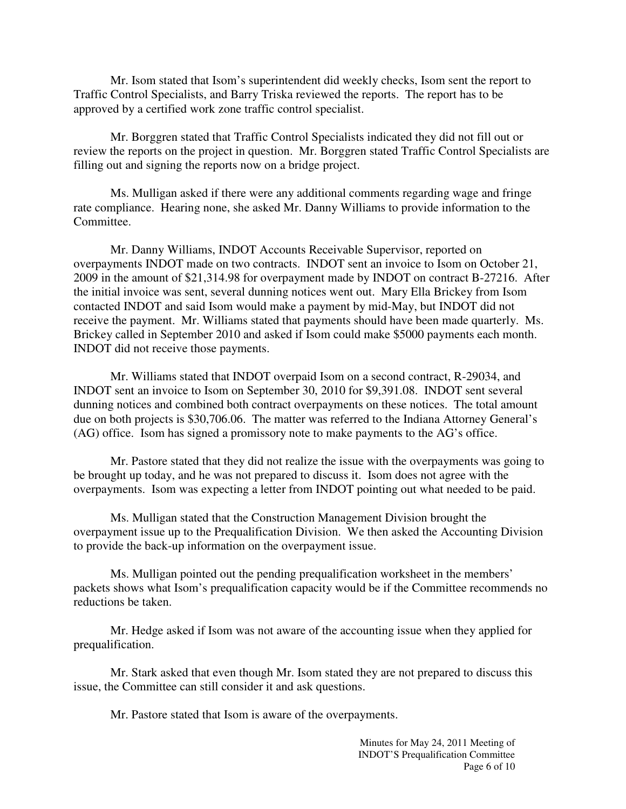Mr. Isom stated that Isom's superintendent did weekly checks, Isom sent the report to Traffic Control Specialists, and Barry Triska reviewed the reports. The report has to be approved by a certified work zone traffic control specialist.

Mr. Borggren stated that Traffic Control Specialists indicated they did not fill out or review the reports on the project in question. Mr. Borggren stated Traffic Control Specialists are filling out and signing the reports now on a bridge project.

Ms. Mulligan asked if there were any additional comments regarding wage and fringe rate compliance. Hearing none, she asked Mr. Danny Williams to provide information to the Committee.

Mr. Danny Williams, INDOT Accounts Receivable Supervisor, reported on overpayments INDOT made on two contracts. INDOT sent an invoice to Isom on October 21, 2009 in the amount of \$21,314.98 for overpayment made by INDOT on contract B-27216. After the initial invoice was sent, several dunning notices went out. Mary Ella Brickey from Isom contacted INDOT and said Isom would make a payment by mid-May, but INDOT did not receive the payment. Mr. Williams stated that payments should have been made quarterly. Ms. Brickey called in September 2010 and asked if Isom could make \$5000 payments each month. INDOT did not receive those payments.

Mr. Williams stated that INDOT overpaid Isom on a second contract, R-29034, and INDOT sent an invoice to Isom on September 30, 2010 for \$9,391.08. INDOT sent several dunning notices and combined both contract overpayments on these notices. The total amount due on both projects is \$30,706.06. The matter was referred to the Indiana Attorney General's (AG) office. Isom has signed a promissory note to make payments to the AG's office.

 Mr. Pastore stated that they did not realize the issue with the overpayments was going to be brought up today, and he was not prepared to discuss it. Isom does not agree with the overpayments. Isom was expecting a letter from INDOT pointing out what needed to be paid.

 Ms. Mulligan stated that the Construction Management Division brought the overpayment issue up to the Prequalification Division. We then asked the Accounting Division to provide the back-up information on the overpayment issue.

 Ms. Mulligan pointed out the pending prequalification worksheet in the members' packets shows what Isom's prequalification capacity would be if the Committee recommends no reductions be taken.

Mr. Hedge asked if Isom was not aware of the accounting issue when they applied for prequalification.

Mr. Stark asked that even though Mr. Isom stated they are not prepared to discuss this issue, the Committee can still consider it and ask questions.

Mr. Pastore stated that Isom is aware of the overpayments.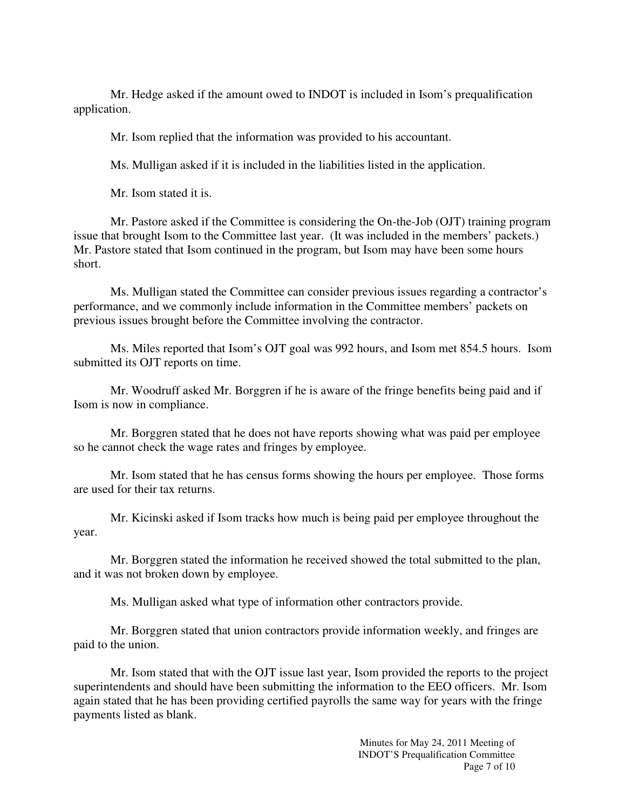Mr. Hedge asked if the amount owed to INDOT is included in Isom's prequalification application.

Mr. Isom replied that the information was provided to his accountant.

Ms. Mulligan asked if it is included in the liabilities listed in the application.

Mr. Isom stated it is.

Mr. Pastore asked if the Committee is considering the On-the-Job (OJT) training program issue that brought Isom to the Committee last year. (It was included in the members' packets.) Mr. Pastore stated that Isom continued in the program, but Isom may have been some hours short.

Ms. Mulligan stated the Committee can consider previous issues regarding a contractor's performance, and we commonly include information in the Committee members' packets on previous issues brought before the Committee involving the contractor.

Ms. Miles reported that Isom's OJT goal was 992 hours, and Isom met 854.5 hours. Isom submitted its OJT reports on time.

Mr. Woodruff asked Mr. Borggren if he is aware of the fringe benefits being paid and if Isom is now in compliance.

Mr. Borggren stated that he does not have reports showing what was paid per employee so he cannot check the wage rates and fringes by employee.

Mr. Isom stated that he has census forms showing the hours per employee. Those forms are used for their tax returns.

Mr. Kicinski asked if Isom tracks how much is being paid per employee throughout the year.

Mr. Borggren stated the information he received showed the total submitted to the plan, and it was not broken down by employee.

Ms. Mulligan asked what type of information other contractors provide.

Mr. Borggren stated that union contractors provide information weekly, and fringes are paid to the union.

Mr. Isom stated that with the OJT issue last year, Isom provided the reports to the project superintendents and should have been submitting the information to the EEO officers. Mr. Isom again stated that he has been providing certified payrolls the same way for years with the fringe payments listed as blank.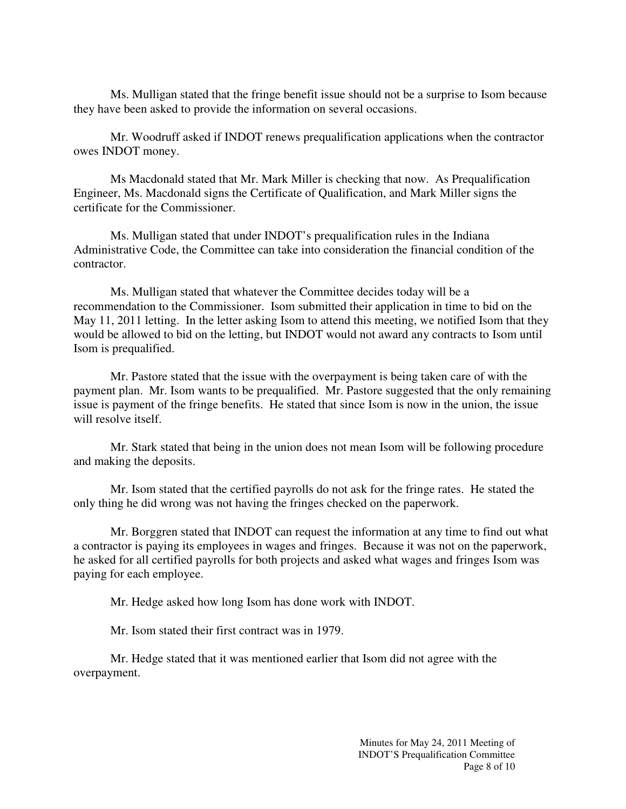Ms. Mulligan stated that the fringe benefit issue should not be a surprise to Isom because they have been asked to provide the information on several occasions.

Mr. Woodruff asked if INDOT renews prequalification applications when the contractor owes INDOT money.

Ms Macdonald stated that Mr. Mark Miller is checking that now. As Prequalification Engineer, Ms. Macdonald signs the Certificate of Qualification, and Mark Miller signs the certificate for the Commissioner.

Ms. Mulligan stated that under INDOT's prequalification rules in the Indiana Administrative Code, the Committee can take into consideration the financial condition of the contractor.

Ms. Mulligan stated that whatever the Committee decides today will be a recommendation to the Commissioner. Isom submitted their application in time to bid on the May 11, 2011 letting. In the letter asking Isom to attend this meeting, we notified Isom that they would be allowed to bid on the letting, but INDOT would not award any contracts to Isom until Isom is prequalified.

Mr. Pastore stated that the issue with the overpayment is being taken care of with the payment plan. Mr. Isom wants to be prequalified. Mr. Pastore suggested that the only remaining issue is payment of the fringe benefits. He stated that since Isom is now in the union, the issue will resolve itself.

Mr. Stark stated that being in the union does not mean Isom will be following procedure and making the deposits.

Mr. Isom stated that the certified payrolls do not ask for the fringe rates. He stated the only thing he did wrong was not having the fringes checked on the paperwork.

Mr. Borggren stated that INDOT can request the information at any time to find out what a contractor is paying its employees in wages and fringes. Because it was not on the paperwork, he asked for all certified payrolls for both projects and asked what wages and fringes Isom was paying for each employee.

Mr. Hedge asked how long Isom has done work with INDOT.

Mr. Isom stated their first contract was in 1979.

Mr. Hedge stated that it was mentioned earlier that Isom did not agree with the overpayment.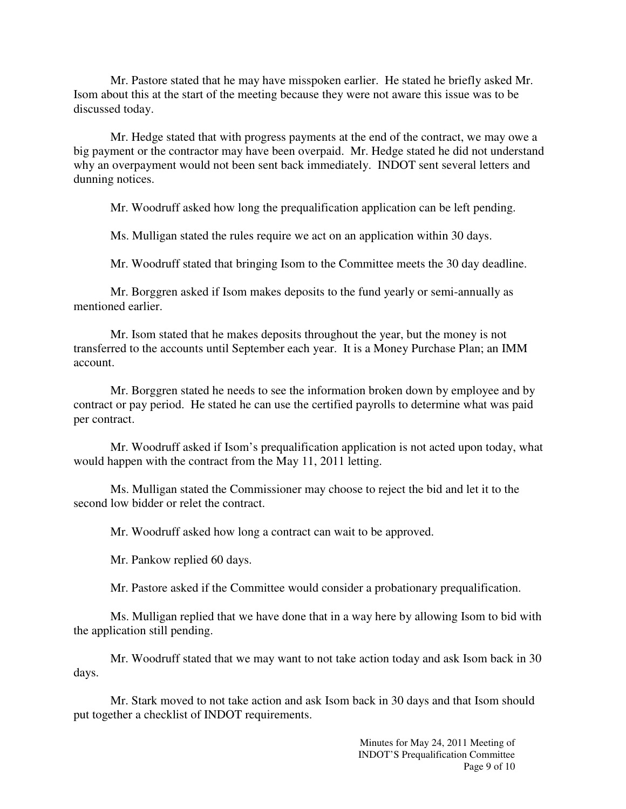Mr. Pastore stated that he may have misspoken earlier. He stated he briefly asked Mr. Isom about this at the start of the meeting because they were not aware this issue was to be discussed today.

Mr. Hedge stated that with progress payments at the end of the contract, we may owe a big payment or the contractor may have been overpaid. Mr. Hedge stated he did not understand why an overpayment would not been sent back immediately. INDOT sent several letters and dunning notices.

Mr. Woodruff asked how long the prequalification application can be left pending.

Ms. Mulligan stated the rules require we act on an application within 30 days.

Mr. Woodruff stated that bringing Isom to the Committee meets the 30 day deadline.

Mr. Borggren asked if Isom makes deposits to the fund yearly or semi-annually as mentioned earlier.

Mr. Isom stated that he makes deposits throughout the year, but the money is not transferred to the accounts until September each year. It is a Money Purchase Plan; an IMM account.

Mr. Borggren stated he needs to see the information broken down by employee and by contract or pay period. He stated he can use the certified payrolls to determine what was paid per contract.

Mr. Woodruff asked if Isom's prequalification application is not acted upon today, what would happen with the contract from the May 11, 2011 letting.

Ms. Mulligan stated the Commissioner may choose to reject the bid and let it to the second low bidder or relet the contract.

Mr. Woodruff asked how long a contract can wait to be approved.

Mr. Pankow replied 60 days.

Mr. Pastore asked if the Committee would consider a probationary prequalification.

Ms. Mulligan replied that we have done that in a way here by allowing Isom to bid with the application still pending.

Mr. Woodruff stated that we may want to not take action today and ask Isom back in 30 days.

Mr. Stark moved to not take action and ask Isom back in 30 days and that Isom should put together a checklist of INDOT requirements.